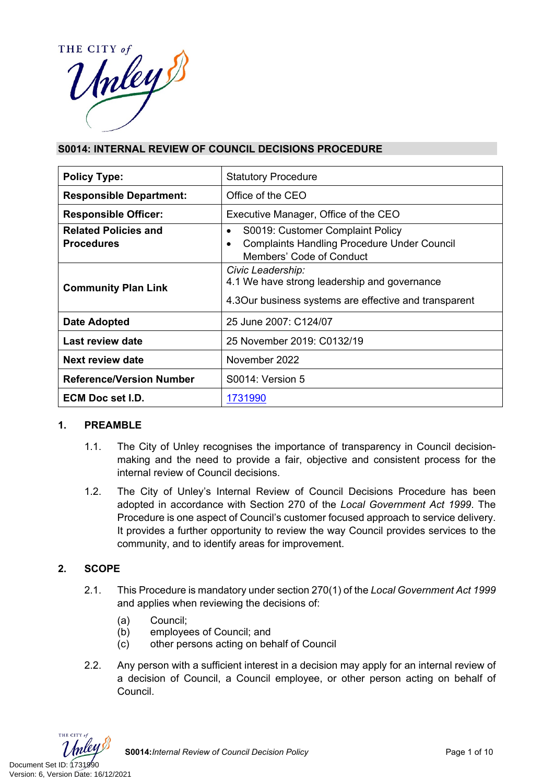

# **S0014: INTERNAL REVIEW OF COUNCIL DECISIONS PROCEDURE**

| <b>Policy Type:</b>             | <b>Statutory Procedure</b>                                                                                                  |  |  |  |
|---------------------------------|-----------------------------------------------------------------------------------------------------------------------------|--|--|--|
| <b>Responsible Department:</b>  | Office of the CEO                                                                                                           |  |  |  |
| <b>Responsible Officer:</b>     | Executive Manager, Office of the CEO                                                                                        |  |  |  |
| <b>Related Policies and</b>     | S0019: Customer Complaint Policy<br>$\bullet$                                                                               |  |  |  |
| <b>Procedures</b>               | <b>Complaints Handling Procedure Under Council</b><br>$\bullet$<br>Members' Code of Conduct                                 |  |  |  |
| <b>Community Plan Link</b>      | Civic Leadership:<br>4.1 We have strong leadership and governance<br>4.3 Our business systems are effective and transparent |  |  |  |
| <b>Date Adopted</b>             | 25 June 2007: C124/07                                                                                                       |  |  |  |
| Last review date                | 25 November 2019: C0132/19                                                                                                  |  |  |  |
| <b>Next review date</b>         | November 2022                                                                                                               |  |  |  |
| <b>Reference/Version Number</b> | S0014: Version 5                                                                                                            |  |  |  |
| ECM Doc set I.D.                | 1731990                                                                                                                     |  |  |  |

# **1. PREAMBLE**

- 1.1. The City of Unley recognises the importance of transparency in Council decisionmaking and the need to provide a fair, objective and consistent process for the internal review of Council decisions.
- 1.2. The City of Unley's Internal Review of Council Decisions Procedure has been adopted in accordance with Section 270 of the *Local Government Act 1999*. The Procedure is one aspect of Council's customer focused approach to service delivery. It provides a further opportunity to review the way Council provides services to the community, and to identify areas for improvement.

# **2. SCOPE**

- 2.1. This Procedure is mandatory under section 270(1) of the *Local Government Act 1999* and applies when reviewing the decisions of:
	- (a) Council;
	- (b) employees of Council; and
	- (c) other persons acting on behalf of Council
- 2.2. Any person with a sufficient interest in a decision may apply for an internal review of a decision of Council, a Council employee, or other person acting on behalf of Council.



**S0014:***Internal Review of Council Decision Policy* **Page 1** of 10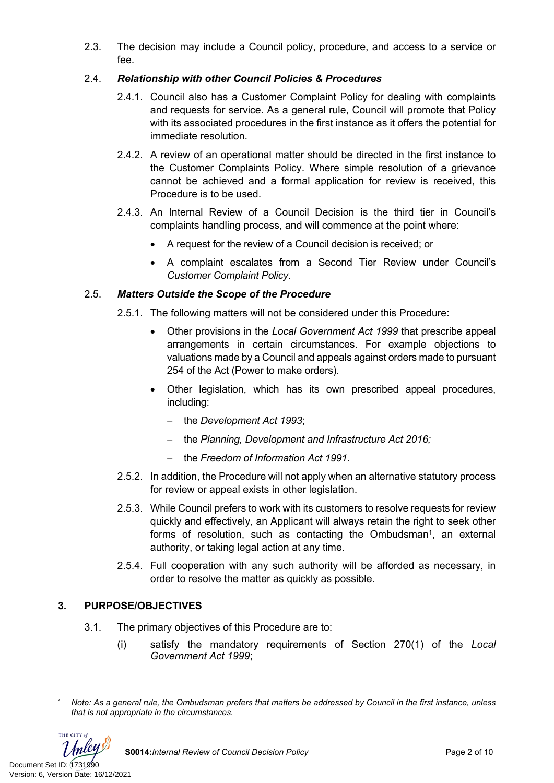2.3. The decision may include a Council policy, procedure, and access to a service or fee.

# 2.4. *Relationship with other Council Policies & Procedures*

- 2.4.1. Council also has a Customer Complaint Policy for dealing with complaints and requests for service. As a general rule, Council will promote that Policy with its associated procedures in the first instance as it offers the potential for immediate resolution.
- 2.4.2. A review of an operational matter should be directed in the first instance to the Customer Complaints Policy. Where simple resolution of a grievance cannot be achieved and a formal application for review is received, this Procedure is to be used.
- 2.4.3. An Internal Review of a Council Decision is the third tier in Council's complaints handling process, and will commence at the point where:
	- A request for the review of a Council decision is received; or
	- A complaint escalates from a Second Tier Review under Council's *Customer Complaint Policy*.

# 2.5. *Matters Outside the Scope of the Procedure*

- 2.5.1. The following matters will not be considered under this Procedure:
	- Other provisions in the *Local Government Act 1999* that prescribe appeal arrangements in certain circumstances. For example objections to valuations made by a Council and appeals against orders made to pursuant 254 of the Act (Power to make orders).
	- Other legislation, which has its own prescribed appeal procedures, including:
		- the *Development Act 1993*;
		- the Planning, Development and Infrastructure Act 2016;
		- the *Freedom of Information Act 1991*.
- 2.5.2. In addition, the Procedure will not apply when an alternative statutory process for review or appeal exists in other legislation.
- 2.5.3. While Council prefers to work with its customers to resolve requests for review quickly and effectively, an Applicant will always retain the right to seek other forms of resolution, such as contacting the Ombudsman<sup>1</sup>, an external authority, or taking legal action at any time.
- 2.5.4. Full cooperation with any such authority will be afforded as necessary, in order to resolve the matter as quickly as possible.

# **3. PURPOSE/OBJECTIVES**

- 3.1. The primary objectives of this Procedure are to:
	- (i) satisfy the mandatory requirements of Section 270(1) of the *Local Government Act 1999*;

THE CITY of

<sup>1</sup> *Note: As a general rule, the Ombudsman prefers that matters be addressed by Council in the first instance, unless that is not appropriate in the circumstances.*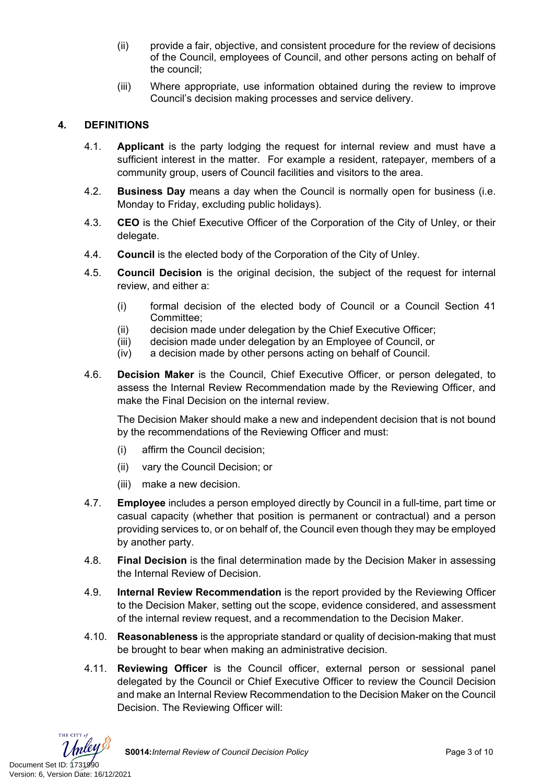- (ii) provide a fair, objective, and consistent procedure for the review of decisions of the Council, employees of Council, and other persons acting on behalf of the council;
- (iii) Where appropriate, use information obtained during the review to improve Council's decision making processes and service delivery.

# **4. DEFINITIONS**

- 4.1. **Applicant** is the party lodging the request for internal review and must have a sufficient interest in the matter. For example a resident, ratepayer, members of a community group, users of Council facilities and visitors to the area.
- 4.2. **Business Day** means a day when the Council is normally open for business (i.e. Monday to Friday, excluding public holidays).
- 4.3. **CEO** is the Chief Executive Officer of the Corporation of the City of Unley, or their delegate.
- 4.4. **Council** is the elected body of the Corporation of the City of Unley.
- 4.5. **Council Decision** is the original decision, the subject of the request for internal review, and either a:
	- (i) formal decision of the elected body of Council or a Council Section 41 Committee;
	- (ii) decision made under delegation by the Chief Executive Officer;
	- (iii) decision made under delegation by an Employee of Council, or
	- (iv) a decision made by other persons acting on behalf of Council.
- 4.6. **Decision Maker** is the Council, Chief Executive Officer, or person delegated, to assess the Internal Review Recommendation made by the Reviewing Officer, and make the Final Decision on the internal review.

The Decision Maker should make a new and independent decision that is not bound by the recommendations of the Reviewing Officer and must:

- (i) affirm the Council decision;
- (ii) vary the Council Decision; or
- (iii) make a new decision.
- 4.7. **Employee** includes a person employed directly by Council in a full-time, part time or casual capacity (whether that position is permanent or contractual) and a person providing services to, or on behalf of, the Council even though they may be employed by another party.
- 4.8. **Final Decision** is the final determination made by the Decision Maker in assessing the Internal Review of Decision.
- 4.9. **Internal Review Recommendation** is the report provided by the Reviewing Officer to the Decision Maker, setting out the scope, evidence considered, and assessment of the internal review request, and a recommendation to the Decision Maker.
- 4.10. **Reasonableness** is the appropriate standard or quality of decision-making that must be brought to bear when making an administrative decision.
- 4.11. **Reviewing Officer** is the Council officer, external person or sessional panel delegated by the Council or Chief Executive Officer to review the Council Decision and make an Internal Review Recommendation to the Decision Maker on the Council Decision. The Reviewing Officer will:

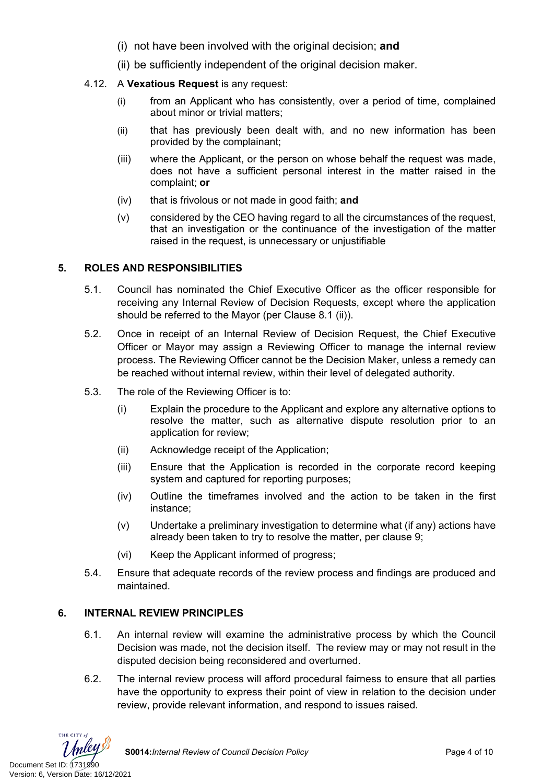- (i) not have been involved with the original decision; **and**
- (ii) be sufficiently independent of the original decision maker.
- 4.12. A **Vexatious Request** is any request:
	- (i) from an Applicant who has consistently, over a period of time, complained about minor or trivial matters;
	- (ii) that has previously been dealt with, and no new information has been provided by the complainant;
	- (iii) where the Applicant, or the person on whose behalf the request was made, does not have a sufficient personal interest in the matter raised in the complaint; **or**
	- (iv) that is frivolous or not made in good faith; **and**
	- (v) considered by the CEO having regard to all the circumstances of the request, that an investigation or the continuance of the investigation of the matter raised in the request, is unnecessary or unjustifiable

### **5. ROLES AND RESPONSIBILITIES**

- 5.1. Council has nominated the Chief Executive Officer as the officer responsible for receiving any Internal Review of Decision Requests, except where the application should be referred to the Mayor (per Clause 8.1 (ii)).
- 5.2. Once in receipt of an Internal Review of Decision Request, the Chief Executive Officer or Mayor may assign a Reviewing Officer to manage the internal review process. The Reviewing Officer cannot be the Decision Maker, unless a remedy can be reached without internal review, within their level of delegated authority.
- 5.3. The role of the Reviewing Officer is to:
	- (i) Explain the procedure to the Applicant and explore any alternative options to resolve the matter, such as alternative dispute resolution prior to an application for review;
	- (ii) Acknowledge receipt of the Application;
	- (iii) Ensure that the Application is recorded in the corporate record keeping system and captured for reporting purposes;
	- (iv) Outline the timeframes involved and the action to be taken in the first instance;
	- (v) Undertake a preliminary investigation to determine what (if any) actions have already been taken to try to resolve the matter, per clause 9;
	- (vi) Keep the Applicant informed of progress;
- 5.4. Ensure that adequate records of the review process and findings are produced and maintained.

# **6. INTERNAL REVIEW PRINCIPLES**

- 6.1. An internal review will examine the administrative process by which the Council Decision was made, not the decision itself. The review may or may not result in the disputed decision being reconsidered and overturned.
- 6.2. The internal review process will afford procedural fairness to ensure that all parties have the opportunity to express their point of view in relation to the decision under review, provide relevant information, and respond to issues raised.

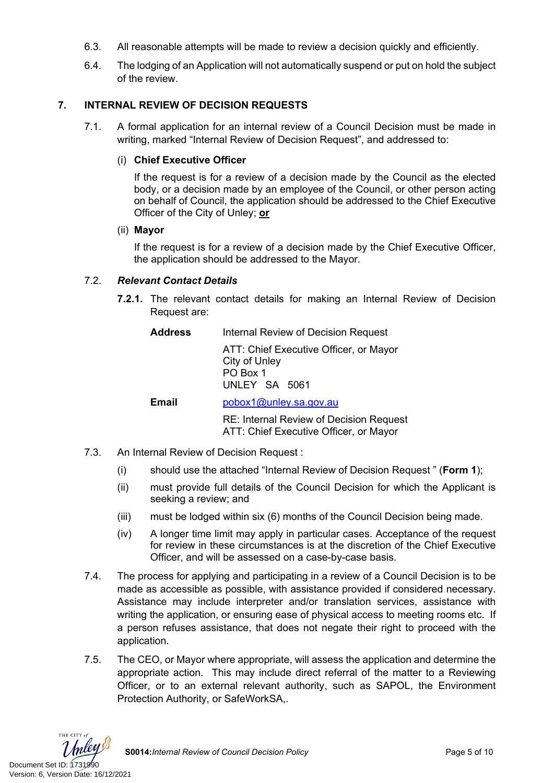- 6.3. All reasonable attempts will be made to review a decision quickly and efficiently.
- 6.4. The lodging of an Application will not automatically suspend or put on hold the subject of the review.

### **7. INTERNAL REVIEW OF DECISION REQUESTS**

7.1. A formal application for an internal review of a Council Decision must be made in writing, marked "Internal Review of Decision Request", and addressed to:

#### (i) **Chief Executive Officer**

If the request is for a review of a decision made by the Council as the elected body, or a decision made by an employee of the Council, or other person acting on behalf of Council, the application should be addressed to the Chief Executive Officer of the City of Unley; **or**

#### (ii) **Mayor**

If the request is for a review of a decision made by the Chief Executive Officer, the application should be addressed to the Mayor.

### 7.2. *Relevant Contact Details*

**7.2.1.** The relevant contact details for making an Internal Review of Decision Request are:

| Address | Internal Review of Decision Request |  |
|---------|-------------------------------------|--|
|         |                                     |  |

ATT: Chief Executive Officer, or Mayor City of Unley PO Box 1 UNLEY SA 5061

### **Email** [pobox1@unley.sa.gov.au](mailto:pobox1@unley.sa.gov.au)

RE: Internal Review of Decision Request ATT: Chief Executive Officer, or Mayor

- 7.3. An Internal Review of Decision Request :
	- (i) should use the attached "Internal Review of Decision Request " (**Form 1**);
	- (ii) must provide full details of the Council Decision for which the Applicant is seeking a review; and
	- (iii) must be lodged within six (6) months of the Council Decision being made.
	- (iv) A longer time limit may apply in particular cases. Acceptance of the request for review in these circumstances is at the discretion of the Chief Executive Officer, and will be assessed on a case-by-case basis.
- 7.4. The process for applying and participating in a review of a Council Decision is to be made as accessible as possible, with assistance provided if considered necessary. Assistance may include interpreter and/or translation services, assistance with writing the application, or ensuring ease of physical access to meeting rooms etc. If a person refuses assistance, that does not negate their right to proceed with the application.
- 7.5. The CEO, or Mayor where appropriate, will assess the application and determine the appropriate action. This may include direct referral of the matter to a Reviewing Officer, or to an external relevant authority, such as SAPOL, the Environment Protection Authority, or SafeWorkSA,.

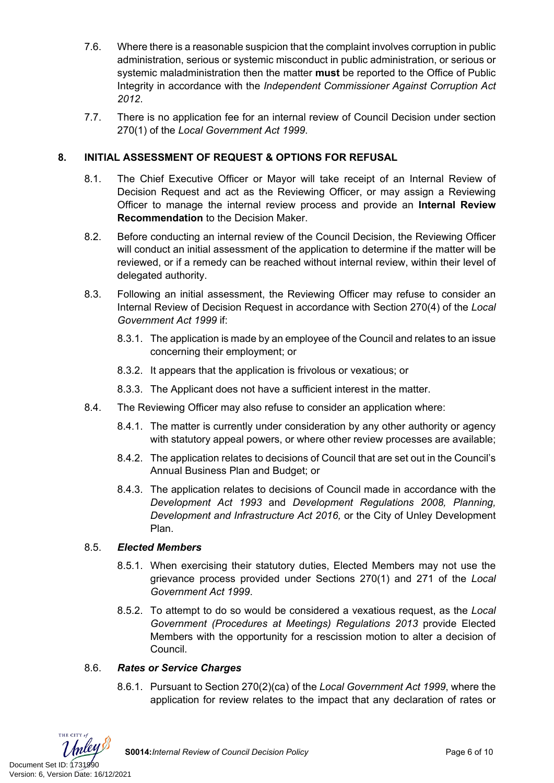- 7.6. Where there is a reasonable suspicion that the complaint involves corruption in public administration, serious or systemic misconduct in public administration, or serious or systemic maladministration then the matter **must** be reported to the Office of Public Integrity in accordance with the *Independent Commissioner Against Corruption Act 2012*.
- 7.7. There is no application fee for an internal review of Council Decision under section 270(1) of the *Local Government Act 1999*.

# **8. INITIAL ASSESSMENT OF REQUEST & OPTIONS FOR REFUSAL**

- 8.1. The Chief Executive Officer or Mayor will take receipt of an Internal Review of Decision Request and act as the Reviewing Officer, or may assign a Reviewing Officer to manage the internal review process and provide an **Internal Review Recommendation** to the Decision Maker.
- 8.2. Before conducting an internal review of the Council Decision, the Reviewing Officer will conduct an initial assessment of the application to determine if the matter will be reviewed, or if a remedy can be reached without internal review, within their level of delegated authority.
- 8.3. Following an initial assessment, the Reviewing Officer may refuse to consider an Internal Review of Decision Request in accordance with Section 270(4) of the *Local Government Act 1999* if:
	- 8.3.1. The application is made by an employee of the Council and relates to an issue concerning their employment; or
	- 8.3.2. It appears that the application is frivolous or vexatious; or
	- 8.3.3. The Applicant does not have a sufficient interest in the matter.
- 8.4. The Reviewing Officer may also refuse to consider an application where:
	- 8.4.1. The matter is currently under consideration by any other authority or agency with statutory appeal powers, or where other review processes are available;
	- 8.4.2. The application relates to decisions of Council that are set out in the Council's Annual Business Plan and Budget; or
	- 8.4.3. The application relates to decisions of Council made in accordance with the *Development Act 1993* and *Development Regulations 2008, Planning, Development and Infrastructure Act 2016,* or the City of Unley Development Plan.

# 8.5. *Elected Members*

- 8.5.1. When exercising their statutory duties, Elected Members may not use the grievance process provided under Sections 270(1) and 271 of the *Local Government Act 1999*.
- 8.5.2. To attempt to do so would be considered a vexatious request, as the *Local Government (Procedures at Meetings) Regulations 2013* provide Elected Members with the opportunity for a rescission motion to alter a decision of Council.

# 8.6. *Rates or Service Charges*

8.6.1. Pursuant to Section 270(2)(ca) of the *Local Government Act 1999*, where the application for review relates to the impact that any declaration of rates or

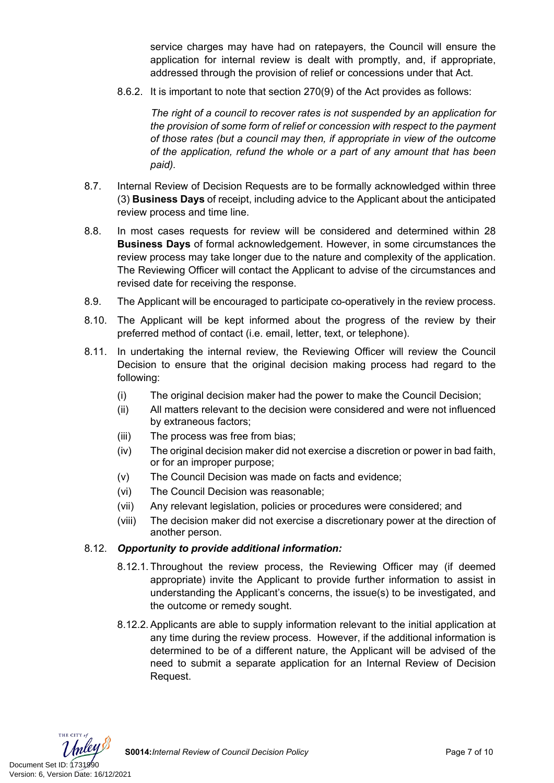service charges may have had on ratepayers, the Council will ensure the application for internal review is dealt with promptly, and, if appropriate, addressed through the provision of relief or concessions under that Act.

8.6.2. It is important to note that section 270(9) of the Act provides as follows:

*The right of a council to recover rates is not suspended by an application for the provision of some form of relief or concession with respect to the payment of those rates (but a council may then, if appropriate in view of the outcome of the application, refund the whole or a part of any amount that has been paid).*

- 8.7. Internal Review of Decision Requests are to be formally acknowledged within three (3) **Business Days** of receipt, including advice to the Applicant about the anticipated review process and time line.
- 8.8. In most cases requests for review will be considered and determined within 28 **Business Days** of formal acknowledgement. However, in some circumstances the review process may take longer due to the nature and complexity of the application. The Reviewing Officer will contact the Applicant to advise of the circumstances and revised date for receiving the response.
- 8.9. The Applicant will be encouraged to participate co-operatively in the review process.
- 8.10. The Applicant will be kept informed about the progress of the review by their preferred method of contact (i.e. email, letter, text, or telephone).
- 8.11. In undertaking the internal review, the Reviewing Officer will review the Council Decision to ensure that the original decision making process had regard to the following:
	- (i) The original decision maker had the power to make the Council Decision;
	- (ii) All matters relevant to the decision were considered and were not influenced by extraneous factors;
	- (iii) The process was free from bias;
	- (iv) The original decision maker did not exercise a discretion or power in bad faith, or for an improper purpose;
	- (v) The Council Decision was made on facts and evidence;
	- (vi) The Council Decision was reasonable;
	- (vii) Any relevant legislation, policies or procedures were considered; and
	- (viii) The decision maker did not exercise a discretionary power at the direction of another person.

#### 8.12. *Opportunity to provide additional information:*

- 8.12.1. Throughout the review process, the Reviewing Officer may (if deemed appropriate) invite the Applicant to provide further information to assist in understanding the Applicant's concerns, the issue(s) to be investigated, and the outcome or remedy sought.
- 8.12.2. Applicants are able to supply information relevant to the initial application at any time during the review process. However, if the additional information is determined to be of a different nature, the Applicant will be advised of the need to submit a separate application for an Internal Review of Decision Request.

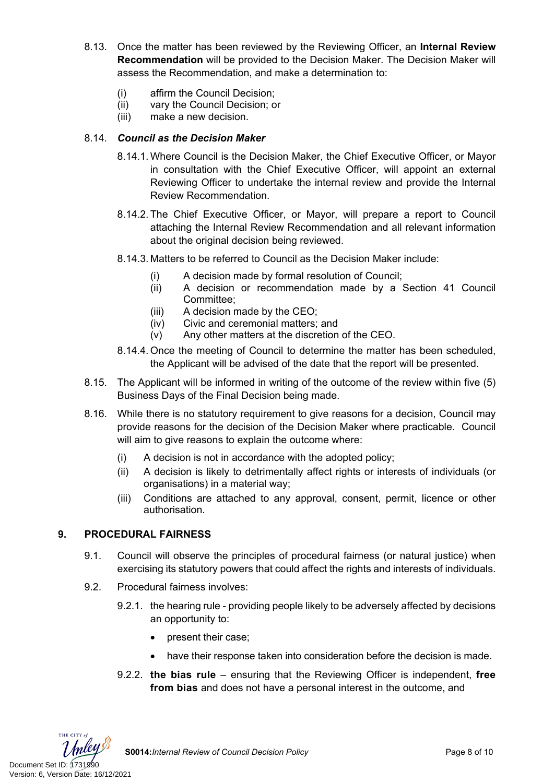- 8.13. Once the matter has been reviewed by the Reviewing Officer, an **Internal Review Recommendation** will be provided to the Decision Maker. The Decision Maker will assess the Recommendation, and make a determination to:
	- (i) affirm the Council Decision;
	- (ii) vary the Council Decision; or
	- (iii) make a new decision.

### 8.14. *Council as the Decision Maker*

- 8.14.1. Where Council is the Decision Maker, the Chief Executive Officer, or Mayor in consultation with the Chief Executive Officer, will appoint an external Reviewing Officer to undertake the internal review and provide the Internal Review Recommendation.
- 8.14.2. The Chief Executive Officer, or Mayor, will prepare a report to Council attaching the Internal Review Recommendation and all relevant information about the original decision being reviewed.
- 8.14.3. Matters to be referred to Council as the Decision Maker include:
	- (i) A decision made by formal resolution of Council;
	- (ii) A decision or recommendation made by a Section 41 Council Committee;
	- (iii) A decision made by the CEO;
	- (iv) Civic and ceremonial matters; and
	- (v) Any other matters at the discretion of the CEO.
- 8.14.4. Once the meeting of Council to determine the matter has been scheduled, the Applicant will be advised of the date that the report will be presented.
- 8.15. The Applicant will be informed in writing of the outcome of the review within five (5) Business Days of the Final Decision being made.
- 8.16. While there is no statutory requirement to give reasons for a decision, Council may provide reasons for the decision of the Decision Maker where practicable. Council will aim to give reasons to explain the outcome where:
	- (i) A decision is not in accordance with the adopted policy;
	- (ii) A decision is likely to detrimentally affect rights or interests of individuals (or organisations) in a material way;
	- (iii) Conditions are attached to any approval, consent, permit, licence or other authorisation.

### **9. PROCEDURAL FAIRNESS**

- 9.1. Council will observe the principles of procedural fairness (or natural justice) when exercising its statutory powers that could affect the rights and interests of individuals.
- 9.2. Procedural fairness involves:
	- 9.2.1. the hearing rule providing people likely to be adversely affected by decisions an opportunity to:
		- present their case;
		- have their response taken into consideration before the decision is made.
	- 9.2.2. **the bias rule** ensuring that the Reviewing Officer is independent, **free from bias** and does not have a personal interest in the outcome, and

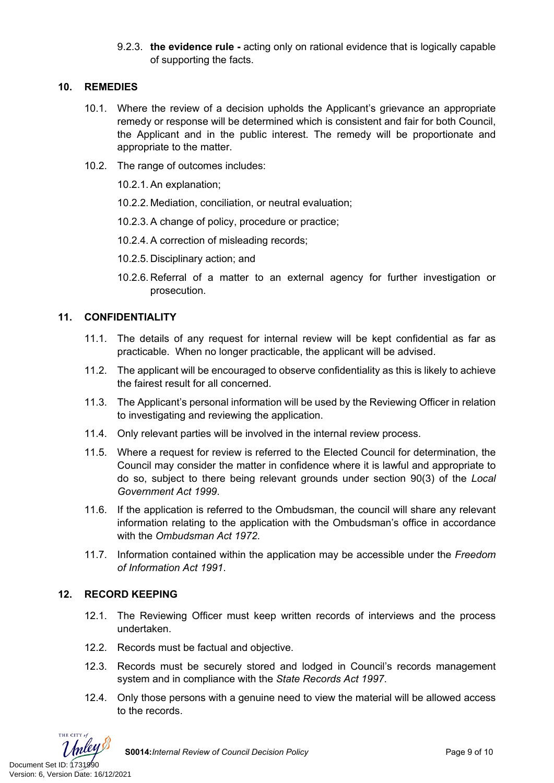9.2.3. **the evidence rule -** acting only on rational evidence that is logically capable of supporting the facts.

### **10. REMEDIES**

- 10.1. Where the review of a decision upholds the Applicant's grievance an appropriate remedy or response will be determined which is consistent and fair for both Council, the Applicant and in the public interest. The remedy will be proportionate and appropriate to the matter.
- 10.2. The range of outcomes includes:

10.2.1. An explanation;

10.2.2. Mediation, conciliation, or neutral evaluation;

10.2.3. A change of policy, procedure or practice;

10.2.4. A correction of misleading records;

10.2.5. Disciplinary action; and

10.2.6. Referral of a matter to an external agency for further investigation or prosecution.

# **11. CONFIDENTIALITY**

- 11.1. The details of any request for internal review will be kept confidential as far as practicable. When no longer practicable, the applicant will be advised.
- 11.2. The applicant will be encouraged to observe confidentiality as this is likely to achieve the fairest result for all concerned.
- 11.3. The Applicant's personal information will be used by the Reviewing Officer in relation to investigating and reviewing the application.
- 11.4. Only relevant parties will be involved in the internal review process.
- 11.5. Where a request for review is referred to the Elected Council for determination, the Council may consider the matter in confidence where it is lawful and appropriate to do so, subject to there being relevant grounds under section 90(3) of the *Local Government Act 1999*.
- 11.6. If the application is referred to the Ombudsman, the council will share any relevant information relating to the application with the Ombudsman's office in accordance with the *Ombudsman Act 1972*.
- 11.7. Information contained within the application may be accessible under the *Freedom of Information Act 1991*.

# **12. RECORD KEEPING**

- 12.1. The Reviewing Officer must keep written records of interviews and the process undertaken.
- 12.2. Records must be factual and objective.
- 12.3. Records must be securely stored and lodged in Council's records management system and in compliance with the *State Records Act 1997*.
- 12.4. Only those persons with a genuine need to view the material will be allowed access to the records.

THE CITY of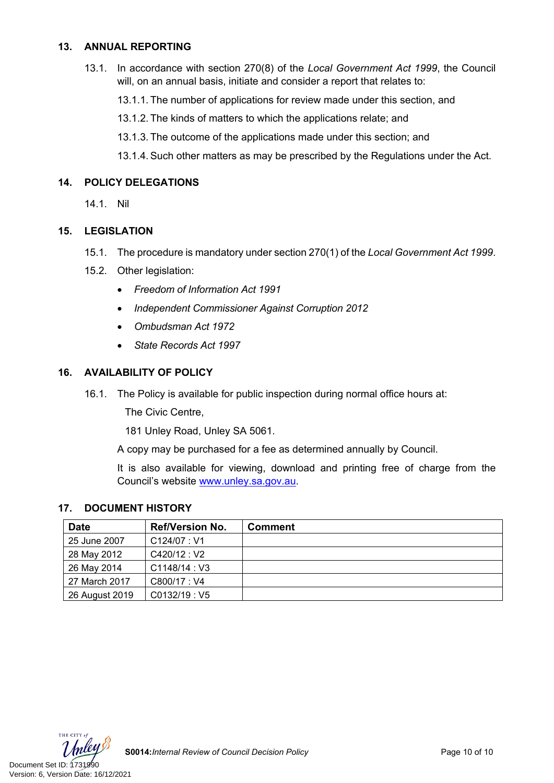### **13. ANNUAL REPORTING**

13.1. In accordance with section 270(8) of the *Local Government Act 1999*, the Council will, on an annual basis, initiate and consider a report that relates to:

13.1.1. The number of applications for review made under this section, and

13.1.2. The kinds of matters to which the applications relate; and

13.1.3. The outcome of the applications made under this section; and

13.1.4. Such other matters as may be prescribed by the Regulations under the Act.

### **14. POLICY DELEGATIONS**

14.1. Nil

### **15. LEGISLATION**

- 15.1. The procedure is mandatory under section 270(1) of the *Local Government Act 1999*.
- 15.2. Other legislation:
	- *Freedom of Information Act 1991*
	- *Independent Commissioner Against Corruption 2012*
	- *Ombudsman Act 1972*
	- *State Records Act 1997*

### **16. AVAILABILITY OF POLICY**

16.1. The Policy is available for public inspection during normal office hours at:

The Civic Centre,

181 Unley Road, Unley SA 5061.

A copy may be purchased for a fee as determined annually by Council.

It is also available for viewing, download and printing free of charge from the Council's website [www.unley.sa.gov.au](file:///C:/Users/dvonwald/AppData/Local/Microsoft/Windows/INetCache/Content.Outlook/3K0LT0PM/www.unley.sa.gov.au).

### **17. DOCUMENT HISTORY**

| <b>Date</b>    | <b>Ref/Version No.</b> | <b>Comment</b> |
|----------------|------------------------|----------------|
| 25 June 2007   | C124/07:V1             |                |
| 28 May 2012    | C420/12:V2             |                |
| 26 May 2014    | C1148/14:V3            |                |
| 27 March 2017  | C800/17: V4            |                |
| 26 August 2019 | CO132/19: V5           |                |

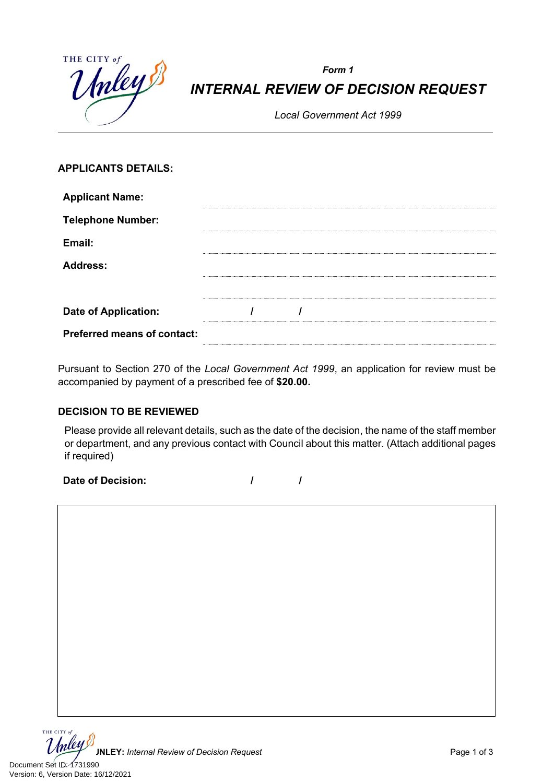| THE CITY of | Inley |
|-------------|-------|
|             |       |
|             |       |

# *Form 1 INTERNAL REVIEW OF DECISION REQUEST*

*Local Government Act 1999*

# **APPLICANTS DETAILS:**

| <b>Applicant Name:</b>             |  |  |  |
|------------------------------------|--|--|--|
| <b>Telephone Number:</b>           |  |  |  |
| Email:                             |  |  |  |
| <b>Address:</b>                    |  |  |  |
|                                    |  |  |  |
| <b>Date of Application:</b>        |  |  |  |
| <b>Preferred means of contact:</b> |  |  |  |

Pursuant to Section 270 of the *Local Government Act 1999*, an application for review must be accompanied by payment of a prescribed fee of **\$20.00.**

# **DECISION TO BE REVIEWED**

Please provide all relevant details, such as the date of the decision, the name of the staff member or department, and any previous contact with Council about this matter. (Attach additional pages if required)

**Date of Decision: / /**

THE CITY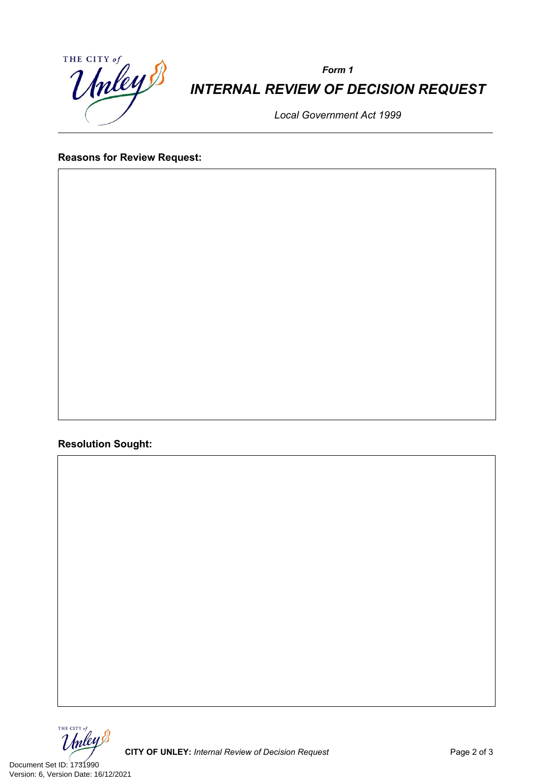

*Form 1 INTERNAL REVIEW OF DECISION REQUEST*

*Local Government Act 1999*

# **Reasons for Review Request:**

**Resolution Sought:**



Document Set ID: 1731990<br>Version: 6, Version Date: 16/12/2021

**CITY OF UNLEY:** Internal Review of Decision Request **Page 2 of 3** Page 2 of 3